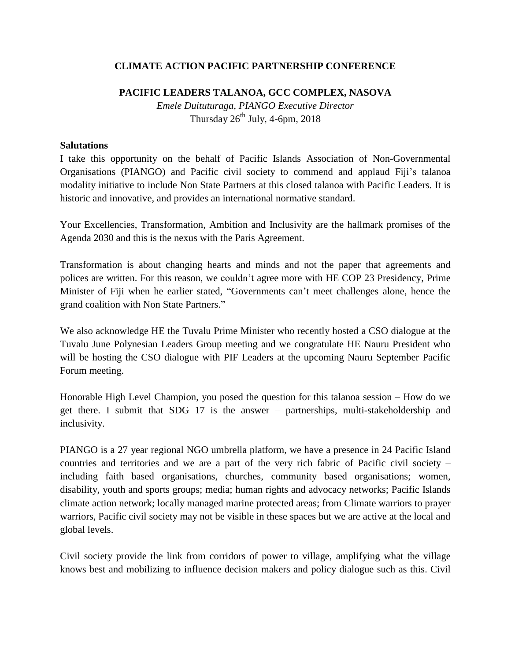## **CLIMATE ACTION PACIFIC PARTNERSHIP CONFERENCE**

## **PACIFIC LEADERS TALANOA, GCC COMPLEX, NASOVA**

*Emele Duituturaga, PIANGO Executive Director* Thursday  $26^{th}$  July, 4-6pm, 2018

## **Salutations**

I take this opportunity on the behalf of Pacific Islands Association of Non-Governmental Organisations (PIANGO) and Pacific civil society to commend and applaud Fiji's talanoa modality initiative to include Non State Partners at this closed talanoa with Pacific Leaders. It is historic and innovative, and provides an international normative standard.

Your Excellencies, Transformation, Ambition and Inclusivity are the hallmark promises of the Agenda 2030 and this is the nexus with the Paris Agreement.

Transformation is about changing hearts and minds and not the paper that agreements and polices are written. For this reason, we couldn't agree more with HE COP 23 Presidency, Prime Minister of Fiji when he earlier stated, "Governments can't meet challenges alone, hence the grand coalition with Non State Partners."

We also acknowledge HE the Tuvalu Prime Minister who recently hosted a CSO dialogue at the Tuvalu June Polynesian Leaders Group meeting and we congratulate HE Nauru President who will be hosting the CSO dialogue with PIF Leaders at the upcoming Nauru September Pacific Forum meeting.

Honorable High Level Champion, you posed the question for this talanoa session – How do we get there. I submit that SDG 17 is the answer – partnerships, multi-stakeholdership and inclusivity.

PIANGO is a 27 year regional NGO umbrella platform, we have a presence in 24 Pacific Island countries and territories and we are a part of the very rich fabric of Pacific civil society – including faith based organisations, churches, community based organisations; women, disability, youth and sports groups; media; human rights and advocacy networks; Pacific Islands climate action network; locally managed marine protected areas; from Climate warriors to prayer warriors, Pacific civil society may not be visible in these spaces but we are active at the local and global levels.

Civil society provide the link from corridors of power to village, amplifying what the village knows best and mobilizing to influence decision makers and policy dialogue such as this. Civil